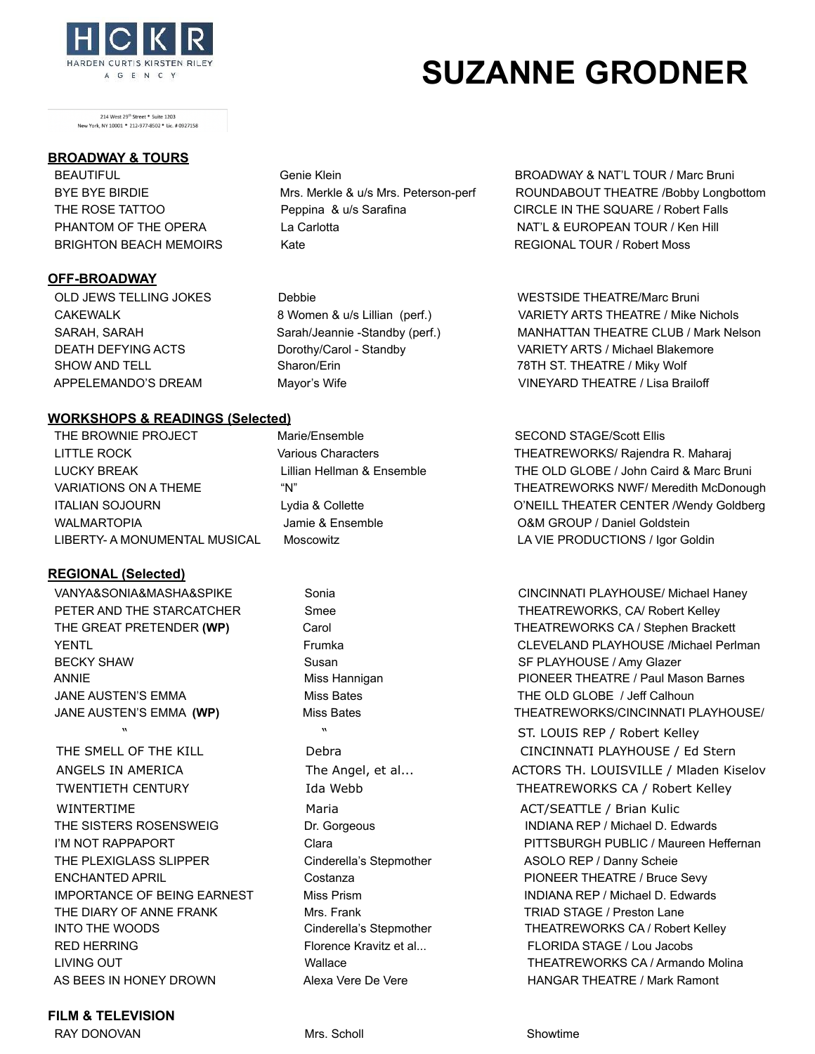

<sup>214</sup> West 29<sup>th</sup> Street \* Suite 1203<br>
New York, NY 10001 \* 212-977-8502 \* Lic. # 0927158<br> **BROADWAY & TOURS** 

### **OFF-BROADWAY**

### **WORKSHOPS & READINGS (Selected)**

THE BROWNIE PROJECT Marie/Ensemble SECOND STAGE/Scott Ellis WALMARTOPIA **State of Land Accords** Jamie & Ensemble **COM GROUP** / Daniel Goldstein LIBERTY- A MONUMENTAL MUSICAL Moscowitz LA VIE PRODUCTIONS / Igor Goldin

### **REGIONAL (Selected)**

BECKY SHAW Susan Susan Susan SF PLAYHOUSE / Amy Glazer JANE AUSTEN'S EMMA **Miss Bates** Miss Bates THE OLD GLOBE / Jeff Calhoun

WINTERTIME **Maria** Maria Maria ACT/SEATTLE / Brian Kulic THE PLEXIGLASS SLIPPER Cinderella's Stepmother ASOLO REP / Danny Scheie ENCHANTED APRIL **Costanza PIONEER THEATRE / Bruce Sevy PIONEER THEATRE / Bruce Sevy** THE DIARY OF ANNE FRANK Mrs. Frank TRIAD STAGE / Preston Lane RED HERRING Florence Kravitz et al... FLORIDA STAGE / Lou Jacobs AS BEES IN HONEY DROWN **Alexa Vere De Vere Alexa Vere** HANGAR THEATRE / Mark Ramont

### **FILM & TELEVISION**

RAY DONOVAN **Mrs.** Scholl Showtime **Mrs.** Scholl Showtime

# BRIGHTON BEACH MEMOIRS Kate Kate Kate REGIONAL TOUR / Robert Moss

## BEAUTIFUL Genie Klein Genie Klein BROADWAY & NAT'L TOUR / Marc Bruni BYE BYE BIRDIE MRS. Merkle & u/s Mrs. Peterson-perf ROUNDABOUT THEATRE /Bobby Longbottom THE ROSE TATTOO **Peppina & u/s Sarafina** CIRCLE IN THE SQUARE / Robert Falls PHANTOM OF THE OPERA La Carlotta La Carlotta NAT'L & EUROPEAN TOUR / Ken Hill

OLD JEWS TELLING JOKES **Debbie** Debbie WESTSIDE THEATRE/Marc Bruni CAKEWALK 8 Women & u/s Lillian (perf.) VARIETY ARTS THEATRE / Mike Nichols SARAH, SARAH Sarah/Jeannie -Standby (perf.) MANHATTAN THEATRE CLUB / Mark Nelson DEATH DEFYING ACTS **Dorothy/Carol - Standby Carol VARIETY ARTS** / Michael Blakemore SHOW AND TELL Sharon/Erin Sharon/Erin 78TH ST. THEATRE / Miky Wolf APPELEMANDO'S DREAM Mayor's Wife VINEYARD THEATRE / Lisa Brailoff

 LITTLE ROCK Various Characters THEATREWORKS/ Rajendra R. Maharaj LUCKY BREAK Lillian Hellman & Ensemble THE OLD GLOBE / John Caird & Marc Bruni VARIATIONS ON A THEME "N" THEATREWORKS NWF/ Meredith McDonough ITALIAN SOJOURN Lydia & Collette CONNET LOTALL THEATER CENTER /Wendy Goldberg

 VANYA&SONIA&MASHA&SPIKE Sonia CINCINNATI PLAYHOUSE/ Michael Haney PETER AND THE STARCATCHER Smee Smee Smeet Smeet Settle THEATREWORKS, CA/ Robert Kelley THE GREAT PRETENDER (WP) Carol Carol Carol THEATREWORKS CA / Stephen Brackett YENTL Frumka CLEVELAND PLAYHOUSE /Michael Perlman ANNIE **ANNIE EITE ANNIE EITE ANNIE EITE ANNIE EITE ANNIE EITE ANNIE EITE ANNIE EITE ANNIE EITE ANN**IE MAS MAART MA<br>DE MARIN MASON BARNES ANNIE EITE ANNIE EITE ANNIE EITE ANNIE EITE ANNIE EITE ANNIE EITE ANNIE EITE ANNIE EI JANE AUSTEN'S EMMA (WP) **Miss Bates** THEATREWORKS/CINCINNATI PLAYHOUSE/

 " " ST. LOUIS REP / Robert Kelley THE SMELL OF THE KILL **Debra** Debra CINCINNATI PLAYHOUSE / Ed Stern ANGELS IN AMERICA The Angel, et al... The Angel, et al... ACTORS TH. LOUISVILLE / Mladen Kiselov TWENTIETH CENTURY TO THEATREWORKS CA / Robert Kelley THE SISTERS ROSENSWEIG **DR. Gorgeous** Dr. Gorgeous INDIANA REP / Michael D. Edwards I'M NOT RAPPAPORT Clara Clara Clara PITTSBURGH PUBLIC / Maureen Heffernan IMPORTANCE OF BEING EARNEST Miss Prism INDIANA REP / Michael D. Edwards INTO THE WOODS **Cinderella's Stepmother** THEATREWORKS CA / Robert Kelley LIVING OUT Wallace THEATREWORKS CA / Armando Molina

# HARDEN CURTIS KIRSTEN RILEY **SUZANNE GRODNER**